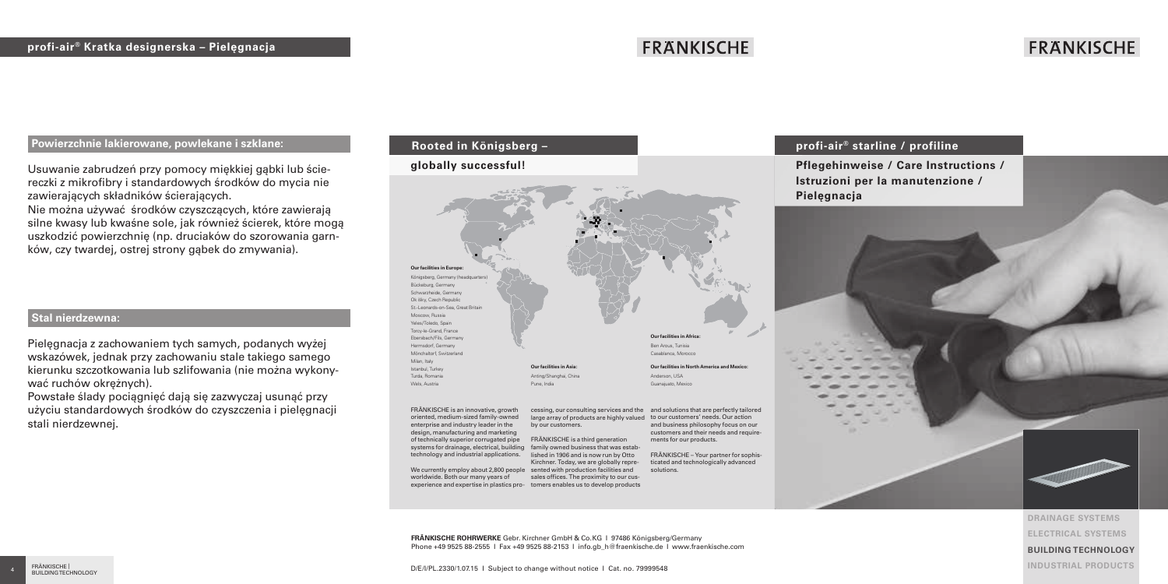# **FRANKISCHE**

# **FRANKISCHE**

### **Powierzchnie lakierowane, powlekane i szklane:**

Usuwanie zabrudzeń przy pomocy miękkiej gąbki lub ściereczki z mikrofibry i standardowych środków do mycia nie zawierających składników ścierających.

Nie można używać środków czyszczących, które zawierają silne kwasy lub kwaśne sole, jak również ścierek, które mogą uszkodzić powierzchnię (np. druciaków do szorowania garnków, czy twardej, ostrej strony gąbek do zmywania).

# **Stal nierdzewna:**

Pielęgnacja z zachowaniem tych samych, podanych wyżej wskazówek, jednak przy zachowaniu stale takiego samego kierunku szczotkowania lub szlifowania (nie można wykonywać ruchów okrężnych).

Powstałe ślady pociągnięć dają się zazwyczaj usunąć przy użyciu standardowych środków do czyszczenia i pielęgnacji stali nierdzewnej.

# **Rooted in Königsberg –**

#### **globally successful!**



FRÄNKISCHE is an innovative, growth oriented, medium-sized family-owned enterprise and industry leader in the design, manufacturing and marketing of technically superior corrugated pipe systems for drainage, electrical, building technology and industrial applications. We currently employ about 2,800 people sented with production facilities and worldwide. Both our many years of experience and expertise in plastics pro-tomers enables us to develop products

cessing, our consulting services and the and solutions that are perfectly tailored large array of products are highly valued to our customers' needs. Our action FRÄNKISCHE is a third generation family owned business that was estaband business philosophy focus on our customers and their needs and requirements for our products.

> FRÄNKISCHE – Your partner for sophisticated and technologically advanced solutions.

# **profi-air® starline / profiline**

**Pflegehinweise / Care Instructions / Istruzioni per la manutenzione /** 



**DRAINAGE SYSTEMS ELECTRICAL SYSTEMS BUILDING TECHNOLOGY INDUSTRIAL PRODUCTS**

**FRÄNKISCHE ROHRWERKE** Gebr. Kirchner GmbH & Co.KG I 97486 Königsberg/Germany Phone +49 9525 88-2555 I Fax +49 9525 88-2153 I info.gb\_h@fraenkische.de I www.fraenkische.com

lished in 1906 and is now run by Otto Kirchner. Today, we are globally represales offices. The proximity to our cus-

D/E/I/PL.2330/1.07.15 I Subject to change without notice I Cat. no. 79999548

by our customers.